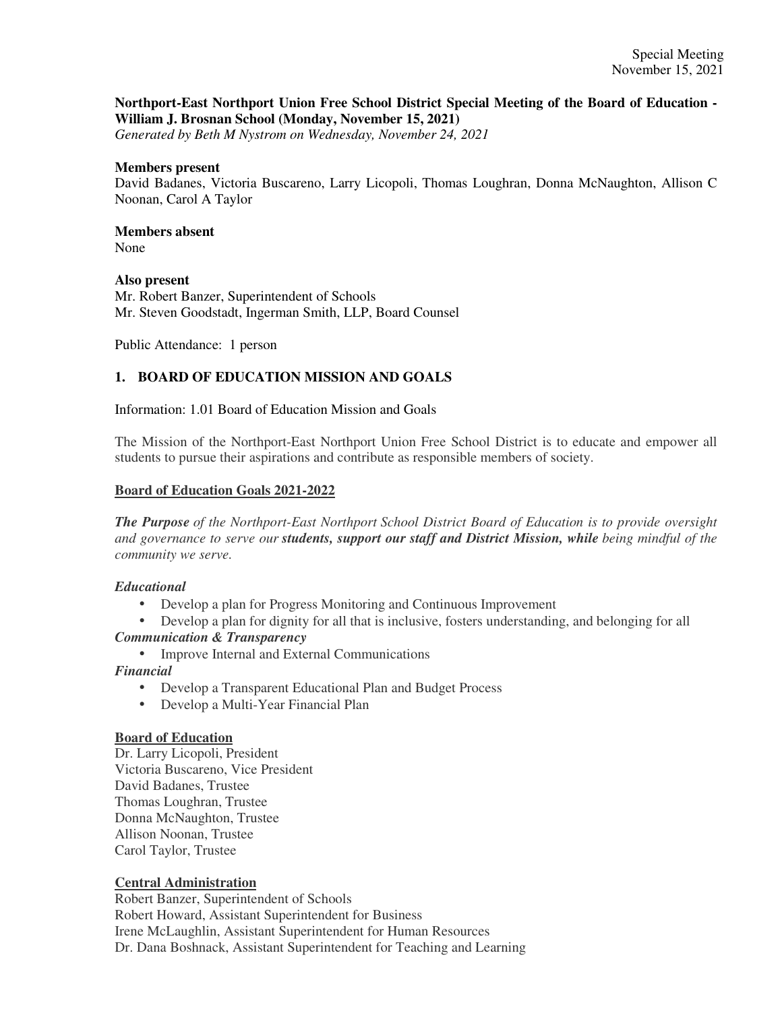## **Northport-East Northport Union Free School District Special Meeting of the Board of Education - William J. Brosnan School (Monday, November 15, 2021)**

*Generated by Beth M Nystrom on Wednesday, November 24, 2021*

#### **Members present**

David Badanes, Victoria Buscareno, Larry Licopoli, Thomas Loughran, Donna McNaughton, Allison C Noonan, Carol A Taylor

# **Members absent**

None

#### **Also present**

Mr. Robert Banzer, Superintendent of Schools Mr. Steven Goodstadt, Ingerman Smith, LLP, Board Counsel

Public Attendance: 1 person

## **1. BOARD OF EDUCATION MISSION AND GOALS**

Information: 1.01 Board of Education Mission and Goals

The Mission of the Northport-East Northport Union Free School District is to educate and empower all students to pursue their aspirations and contribute as responsible members of society.

#### **Board of Education Goals 2021-2022**

*The Purpose of the Northport-East Northport School District Board of Education is to provide oversight and governance to serve our students, support our staff and District Mission, while being mindful of the community we serve.*

## *Educational*

- Develop a plan for Progress Monitoring and Continuous Improvement
- Develop a plan for dignity for all that is inclusive, fosters understanding, and belonging for all *Communication & Transparency*
	- Improve Internal and External Communications

*Financial*

- Develop a Transparent Educational Plan and Budget Process
- Develop a Multi-Year Financial Plan

#### **Board of Education**

Dr. Larry Licopoli, President Victoria Buscareno, Vice President David Badanes, Trustee Thomas Loughran, Trustee Donna McNaughton, Trustee Allison Noonan, Trustee Carol Taylor, Trustee

## **Central Administration**

Robert Banzer, Superintendent of Schools Robert Howard, Assistant Superintendent for Business Irene McLaughlin, Assistant Superintendent for Human Resources Dr. Dana Boshnack, Assistant Superintendent for Teaching and Learning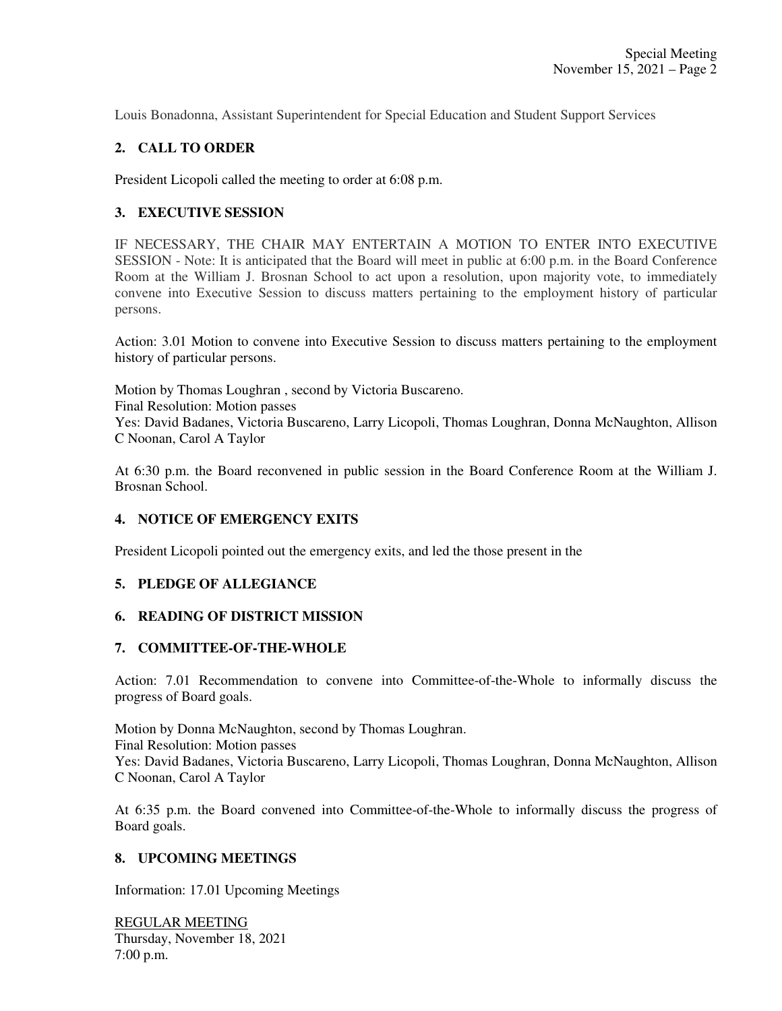Louis Bonadonna, Assistant Superintendent for Special Education and Student Support Services

## **2. CALL TO ORDER**

President Licopoli called the meeting to order at 6:08 p.m.

## **3. EXECUTIVE SESSION**

IF NECESSARY, THE CHAIR MAY ENTERTAIN A MOTION TO ENTER INTO EXECUTIVE SESSION - Note: It is anticipated that the Board will meet in public at 6:00 p.m. in the Board Conference Room at the William J. Brosnan School to act upon a resolution, upon majority vote, to immediately convene into Executive Session to discuss matters pertaining to the employment history of particular persons.

Action: 3.01 Motion to convene into Executive Session to discuss matters pertaining to the employment history of particular persons.

Motion by Thomas Loughran , second by Victoria Buscareno. Final Resolution: Motion passes Yes: David Badanes, Victoria Buscareno, Larry Licopoli, Thomas Loughran, Donna McNaughton, Allison C Noonan, Carol A Taylor

At 6:30 p.m. the Board reconvened in public session in the Board Conference Room at the William J. Brosnan School.

## **4. NOTICE OF EMERGENCY EXITS**

President Licopoli pointed out the emergency exits, and led the those present in the

## **5. PLEDGE OF ALLEGIANCE**

## **6. READING OF DISTRICT MISSION**

#### **7. COMMITTEE-OF-THE-WHOLE**

Action: 7.01 Recommendation to convene into Committee-of-the-Whole to informally discuss the progress of Board goals.

Motion by Donna McNaughton, second by Thomas Loughran. Final Resolution: Motion passes Yes: David Badanes, Victoria Buscareno, Larry Licopoli, Thomas Loughran, Donna McNaughton, Allison C Noonan, Carol A Taylor

At 6:35 p.m. the Board convened into Committee-of-the-Whole to informally discuss the progress of Board goals.

## **8. UPCOMING MEETINGS**

Information: 17.01 Upcoming Meetings

REGULAR MEETING Thursday, November 18, 2021 7:00 p.m.